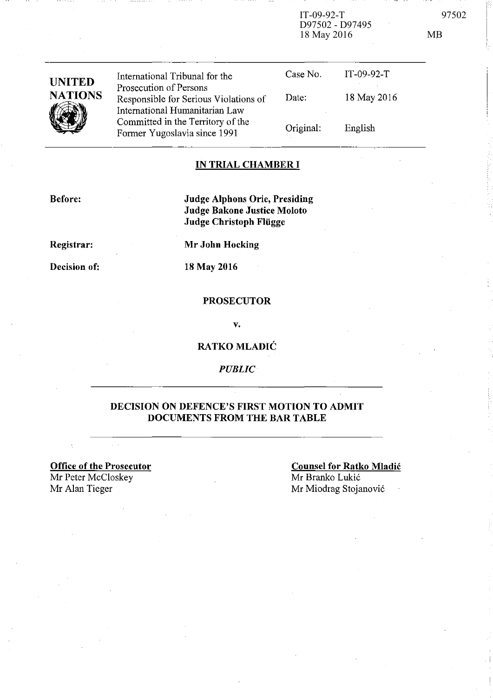IT-09-92-T 97502 D97502 - D97495 18 May 2016 MB

| <b>UNITED</b><br><b>NATIONS</b> | International Tribunal for the                                                                    | Case No.  | $IT-09-92-T$ |
|---------------------------------|---------------------------------------------------------------------------------------------------|-----------|--------------|
|                                 | Prosecution of Persons<br>Responsible for Serious Violations of<br>International Humanitarian Law | Date:     | 18 May 2016  |
|                                 | Committed in the Territory of the<br>Former Yugoslavia since 1991                                 | Original: | English      |

## **IN TRIAL CHAMBER I**

**Before:** 

**Judge Alphons Orie, Presiding Judge Bakone Justice Moloto Judge Christoph FIiigge** 

**Registrar:** 

**Mr John Hocking** 

**18** May 2016

**Decision of:** 

# **PROSECUTOR**

v.

## **RATKO MLADIC**

*PUBLIC* 

### **DECISION ON DEFENCE'S FIRST MOTION TO ADMIT DOCUMENTS FROM THE BAR TABLE**

**Office of the Prosecutor**  Mr Peter McCloskey Mr Alan Tieger Mr Miodrag Stojanović

 $\sim$   $\sim$ 

**Counsel for Ratko Mladic**  Mr Branko Lukić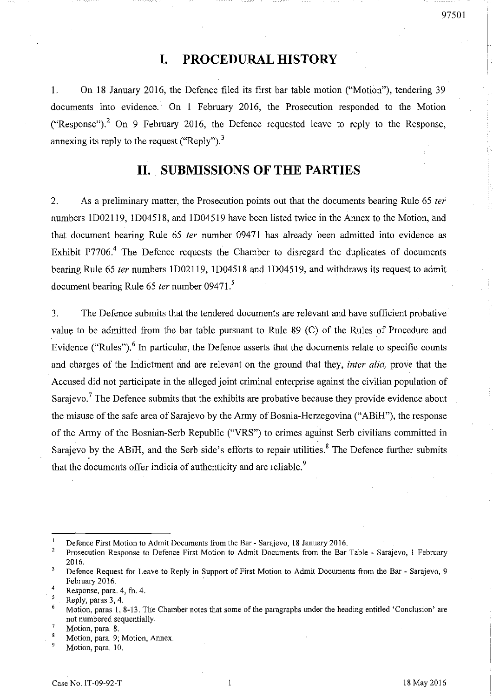# **I. PROCEDURAL HISTORY**

1. On 18 January 2016, the Defence filed its first bar table motion ("Motion"), tendering 39 documents into evidence.<sup>1</sup> On 1 February 2016, the Prosecution responded to the Motion ("Response").<sup>2</sup> On 9 February 2016, the Defence requested leave to reply to the Response, annexing its reply to the request ("Reply").<sup>3</sup>

# **11. SUBMISSIONS OF THE PARTIES**

2. As a preliminary matter, the Prosecution points out that the documents bearing Rule 65 *ter*  numbers ID02119, ID04518, and ID04519 have been listed twice in the Annex to the Motion, and that document bearing Rule 65 *ter* number 09471 has already been admitted into evidence as Exhibit P7706.<sup>4</sup> The Defence requests the Chamber to disregard the duplicates of documents bearing Rule 65 *ter* numbers lD02119, ID04518 and lD04519, and withdraws its request to admit document bearing Rule 65 *ter* number 09471. <sup>5</sup>

3. The Defence submits that the tendered documents are relevant and have sufficient probative value to be admitted from the bar table pursuant to Rule 89 (C) of the Rules of Procedure and Evidence ("Rules").<sup>6</sup> In particular, the Defence asserts that the documents relate to specific counts and charges of the Indictment and are relevant on the ground that they, *inter alia,* prove that the Accused did not participate in the alleged joint criminal enterprise against the civilian population of Sarajevo.<sup>7</sup> The Defence submits that the exhibits are probative because they provide evidence about the misuse of the safe area of Sarajevo by the Army of Bosnia-Herzegovina ("ABiH"), the response of the Army of the Bosnian-Serb Republic ("VRS") to crimes against Serb civilians committed in Sarajevo by the ABiH, and the Serb side's efforts to repair utilities.<sup>8</sup> The Defence further submits that the documents offer indicia of authenticity and are reliable.<sup>9</sup>

Defence First Motion to Admit Documents from the Bar - Sarajevo, 18 January 2016.

 $\overline{a}$ Prosecution Response to Defence First Motion to Admit Documents from the Bar Table - Sarajevo, 1 February 2016.

 $\overline{\mathbf{3}}$ Defence Request for Leave to Reply in Support of First Motion to Admit Documents from the Bar - Sarajevo, 9 February 2016.

<sup>4</sup>  Response, para. 4, fn. 4.  $\mathsf{s}$ 

Reply, paras 3, 4.

Motion, paras 1,8-13. The Chamber notes that some of the paragraphs under the heading entitled 'Conclusion' are not numbered sequentially.

**Motion, para. 8.** 

**Motion, para. 9; Motion, Annex.** 

<sup>9</sup>  **Motion, para. 10.**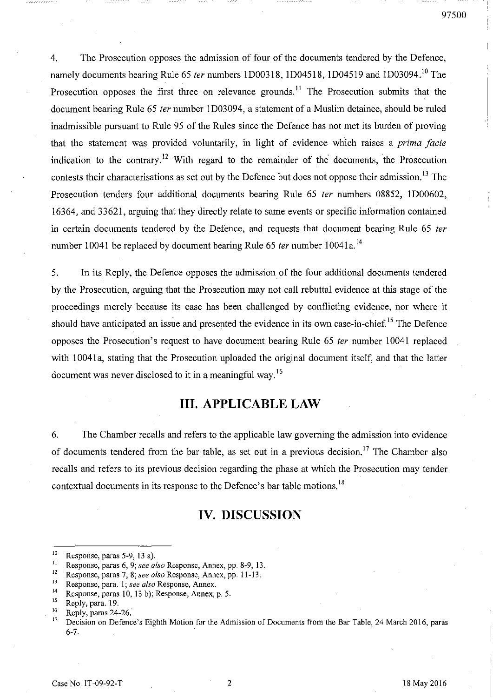$\bar{ }$  I !

4. The Prosecution opposes the admission of four of the documents tendered by the Defence, namely documents bearing Rule 65 ter numbers 1D00318, 1D04518, 1D04519 and 1D03094.<sup>10</sup> The Prosecution opposes the first three on relevance grounds.<sup>11</sup> The Prosecution submits that the document bearing Rule 65 fer number ID03094, a statement of a Muslim detainee, should be ruled inadmissible pursuant to Rule 95 of the Rules since the Defence has not met its burden of proving that the statement was provided voluntarily, in light of evidence which raises a *prima facie* indication to the contrary.<sup>12</sup> With regard to the remainder of the documents, the Prosecution contests their characterisations as set out by the Defence but does not oppose their admission.<sup>13</sup> The Prosecution tenders four additional documents bearing Rule 65 ter numbers 08852, 1D00602, 16364, and 33621, arguing that they directly relate to same events or specific information contained in certain documents tendered by the Defence, and requests that document bearing Rule 65 fer number 10041 be replaced by document bearing Rule 65 *ter* number 10041 $a$ .<sup>[4</sup>]

5. In its Reply, the Defence opposes the admission of the four additional documents tendered by the Prosecution, arguing that the Prosecution may not call rebuttal evidence at this stage of the proceedings merely because its case has been challenged by conflicting evidence, nor where it should have anticipated an issue and presented the evidence in its own case-in-chief.<sup>15</sup> The Defence opposes the Prosecution's request to have document bearing Rule 65 fer number 10041 replaced with 10041a, stating that the Prosecution uploaded the original document itself, and that the latter document was never disclosed to it in a meaningful way.<sup>16</sup>

# **Ill. APPLICABLE LAW**

6. The Chamber recalls and refers to the applicable law governing the admission into evidence of documents tendered from the bar table, as set out in a previous decision.<sup>17</sup> The Chamber also recalls and refers to its previous decision regarding the phase at which the Prosecution may tender contextual documents in its response to the Defence's bar table motions.<sup>18</sup>

# **IV. DISCUSSION**

<sup>&</sup>lt;sup>10</sup> Response, paras 5-9, 13 a).<br><sup>11</sup> Response paras 6, 0: see a

**<sup>11</sup> Response, paras 6, 9;** *see also* **Response, Annex, pp. 8-9, 13.** 

**<sup>12</sup> Response, paras 7, 8;** *see also* **Response, Annex, pp. 11-13.** 

**IJ Response, para. 1;** *see also* **Response, Annex.** 

<sup>&</sup>lt;sup>14</sup> Response, paras 10, 13 b); Response, Annex, p. 5.<br><sup>15</sup> Penly para 10

 $^{15}$  Reply, para. 19.

 $16$  Reply, paras 24-26.

<sup>17</sup> Decision on Defence's Eighth Motion for the Admission of Documents from the Bar Table, 24 March 2016, paras 6-7.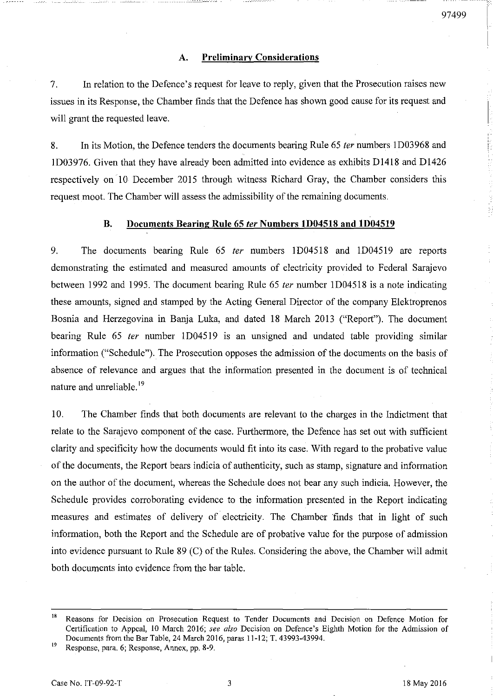#### A. Preliminary Considerations

7. In relation to the Defence's request for leave to reply, given that the Prosecution raises new issues in its Response, the Chamber finds that the Defence has shown good cause for its request and will grant the requested leave.

8. In its Motion, the Defence tenders the documents bearing Rule 65 *ter* numbers 1D03968 and ID03976. Given that they have already been admitted into evidence as exhibits Dl418 and Dl426 respectively on 10 December 2015 through witness Richard Gray, the Chamber considers this request moot. The Chamber will assess the admissibility of the remaining documents.

#### B. Documents Bearing Rule 65 ter Numbers 1D04518 and 1D04519

9. The documents bearing Rule 65 ter numbers 1D04518 and 1D04519 are reports demonstrating the estimated and measured amounts of electricity provided to Federal Sarajevo between 1992 and 1995. The document bearing Rule 65 ter number 1D04518 is a note indicating these amounts, signed and stamped by the Acting General Director of the company Elektroprenos Bosnia and Herzegovina in Banja Luka, and dated 18 March 2013 ("Report"). The document bearing Rule 65 ter number 1D04519 is an unsigned and undated table providing similar information ("Schedule"). The Prosecution opposes the admission of the documents on the basis of absence of relevance and argues that the information presented in the document is of technical nature and unreliable.<sup>19</sup>

10. The Chamber finds that both documents are relevant to the charges in the Indictment that relate to the Sarajevo component of the case. Furthermore, the Defence has set out with sufficient clarity and specificity how the documents would fit into its case. With regard to the probative value of the documents, the Report bears indicia of authenticity, such as stamp, signature and information on the author of the document, whereas the Schedule does not bear any such indicia. However, the Schedule provides corroborating evidence to the information presented in the Report indicating measures and estimates of delivery of electricity. The Chamber 'finds that in light of such information, both the Report and the Schedule are of probative value for the purpose of admission into evidence pursuant to Rule 89 (C) of the Rules. Considering the above, the Chamber will admit both documents into evidence from the bar table.

<sup>&</sup>lt;sup>18</sup> Reasons for Decision on Prosecution Request to Tender Documents and Decision on Defence Motion for Certification to Appeal, 10 March 2016; *see also* Decision on Defence's Eighth Motion for the Admission of Documents from the Bar Table, 24 March 2016, paras 11-12; T. 43993-43994.

Response, para. 6; Response, Annex, pp. 8-9.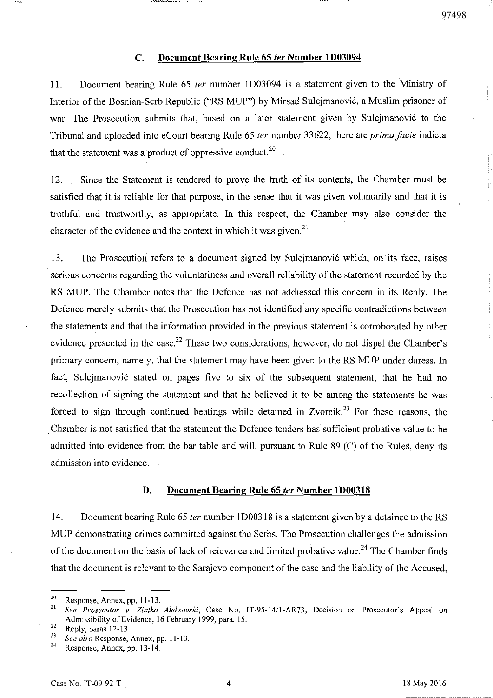#### **C.** Document Bearing Rule 65 *ter* Number 1D03094

11. Document bearing Rule 65 *ter* number 1D03094 is a statement given to the Ministry of Interior of the Bosnian-Serb Republic ("RS MUP") by Mirsad Sulejmanovi6, a Muslim prisoner of war. The Prosecution submits that, based on a later statement given by Sulejmanović to the Tribunal and uploaded into eCourt bearing Rule 65 *ter* number 33622, there are *prima facie* indicia that the statement was a product of oppressive conduct.<sup>20</sup>

12. Since the Statement is tendered to prove the truth of its contents, the Chamber must be satisfied that it is reliable for that purpose, in the sense that it was given voluntarily and that it is truthful and trustworthy, as appropriate. In this respect, the Chamber may also consider the character of the evidence and the context in which it was given.<sup>21</sup>

13. The Prosecution refers to a document signed by Sulejmanović which, on its face, raises serious concerns regarding the voluntariness and overall reliability of the statement recorded by the RS MUP. The Chamber notes that the Defence has not addressed this concern in its Reply. The Defence merely submits that the Prosecution has not identified any specific contradictions between the statements and that the information provided in the previous statement is corroborated by other evidence presented in the case.<sup>22</sup> These two considerations, however, do not dispel the Chamber's primary concern, namely, that the statement may have been given to the RS MUP under duress. In fact, Sulejmanović stated on pages five to six of the subsequent statement, that he had no recollection of signing the statement and that he believed it to be among the statements he was forced to sign through continued beatings while detained in Zvornik.<sup>23</sup> For these reasons, the . Chamber is not satisfied that the statement the Defence tenders has sufficient probative value to be admitted into evidence from the bar table and will, pursuant to Rule 89 (C) of the Rules, deny its admission into evidence.

#### **D.** Document Bearing Rule 65 *ter* Number 1D00318

14. Document bearing Rule 65 *ter* number 1D00318 is a statement given by a detainee to the RS MUP demonstrating crimes committed against the Serbs. The Prosecution challenges the admission of the document on the basis of lack of relevance and limited probative value.<sup>24</sup> The Chamber finds that the document is relevant to the Sarajevo component of the case and the liability of the Accused,

<sup>&</sup>lt;sup>20</sup> Response, Annex, pp. 11-13.

<sup>21</sup>*See Prosecutor v. Zlatko Aleksovski,* Case No. IT-95-14/1-AR73, Decision on Prosecutor's Appeal on Admissibility of Evidence, 16 February 1999, para. IS.

 $\frac{22}{23}$  Reply, paras 12-13.

<sup>&</sup>lt;sup>23</sup> *See also* Response, Annex, pp. 11-13.

Response, Annex, pp. 13-14.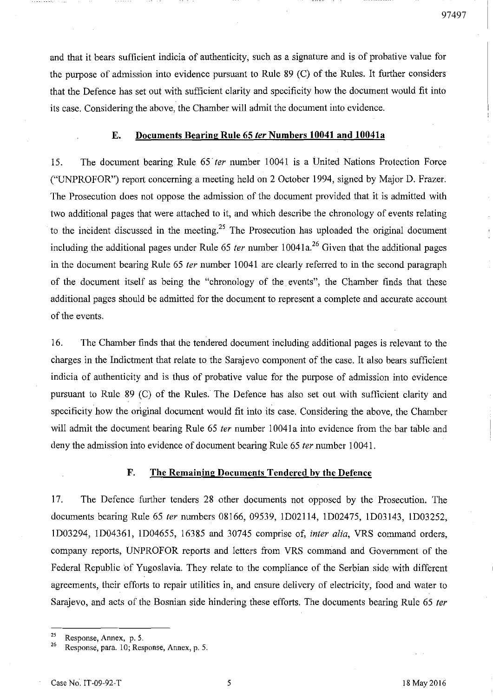and that it bears sufficient indicia of authenticity, such as a signature and is of probative value for the purpose of admission into evidence pursuant to Rule 89 (C) of the Rules. It further considers that the Defence has set out with sufficient clarity and specificity how the document would fit into its case. Considering the above, the Chamber will admit the document into evidence.

#### E. Documents Bearing Rule 65 ler Numbers **10041** and **1004la**

15. The document bearing Rule 65 fer number 10041 is a United Nations Protection Force ("UNPROFOR") report concerning a meeting held on 2 October 1994, signed by Major D. Frazer. The Prosecution does not oppose the admission of the document provided that it is admitted with two additional pages that were attached to it, and which describe the chronology of events relating to the incident discussed in the meeting.<sup>25</sup> The Prosecution has uploaded the original document including the additional pages under Rule 65 ter number  $10041a<sup>26</sup>$  Given that the additional pages in the document bearing Rule 65 fer number 10041 are clearly referred to in the second paragraph of the document itself as being the "chronology of the events", the Chamber finds that these additional pages should be admitted for the document to represent a complete and accurate account of the events.

16. The Chamber finds that the tendered document including additional pages is relevant to the charges in the Indictment that relate to the Sarajevo component of the case. It also bears sufficient indicia of authenticity and is thus of probative value for the purpose of admission into evidence pursuant to Rule 89 (C) of the Rules. The Defence has also set out with sufficient clarity and specificity how the original document would fit into its case. Considering the above, the Chamber will admit the document bearing Rule 65 ter number 10041a into evidence from the bar table and deny the admission into evidence of document bearing Rule 65 *ter* number 10041.

#### F. The Remaining Documents Tendered by the Defence

17. The Defence further tenders 28 other documents not opposed by the Prosecution. The documents bearing Rule 65 *ter* numbers 08166, 09539, 1D02114, ID02475, ID03143, ID03252, 1D03294, 1D04361, 1D04655, 16385 and 30745 comprise of, *inter alia,* VRS command orders, company reports, UNPROFOR reports and letters from VRS command and Government of the Federal Republic of Yugoslavia. They relate to the compliance of the Serbian side with different agreements, their efforts to repair utilities in, and ensure delivery of electricity, food and water to Sarajevo, and acts of the Bosnian side hindering these efforts. The documents bearing Rule 65 ter

<sup>25</sup> **Response, Annex, p. 5.** 

Response, para. 10; Response, Annex, p. 5.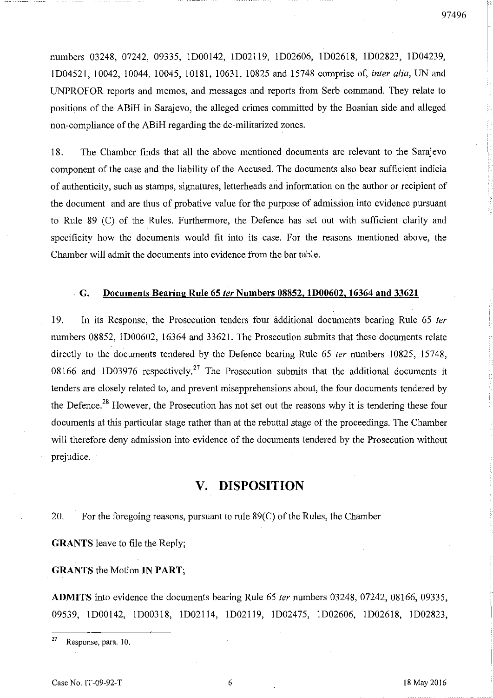numbers 03248, 07242, 09335, lD00142, lD02119, lD02606, lD02618, lD02823, lD04239, lD04521, 10042, 10044, 10045, 10181, 10631, 10825 and 15748 comprise of, inter alia, UN and UNPROFOR reports and memos, and messages and reports from Serb command. They relate to positions of the ABiH in Sarajevo, the alleged crimes committed by the Bosnian side and alleged non-compliance of the ABiH regarding the de-militarized zones.

18. The Chamber finds that all the above mentioned documents are relevant to the Sarajevo component of the case and the liability of the Accused. The documents also bear sufficient indicia of authenticity, such as stamps, signatures, letterheads and information on the author or recipient of the document and 'are thus of probative value for the purpose of admission into evidence pursuant to Rule 89 (C) of the Rules. Furthermore, the Defence has set out with sufficient clarity and specificity how the documents would fit into its case. For the reasons mentioned above, the Chamber will admit the documents into evidence from the bar table .

#### . G. Documents Bearing Rule 65 ler Numbers 08852, 1D00602, 16364 and 33621

19. In its Response, the Prosecution tenders four additional documents bearing Rule 65 fer numbers 08852, ID00602, 16364 and 33621. The Prosecution submits that these documents relate directly to the documents tendered by the Defence bearing Rule 65 *ter* numbers 10825, 15748, 08166 and 1D03976 respectively.<sup>27</sup> The Prosecution submits that the additional documents it tenders are closely related to, and prevent misapprehensions about, the four documents tendered by the Defence.<sup>28</sup> However, the Prosecution has not set out the reasons why it is tendering these four documents at this particular stage rather than at the rebuttal stage of the proceedings. The Chamber will therefore deny admission into evidence of the documents tendered by the Prosecution without prejudice.

# V. DISPOSITION

20. For the foregoing reasons, pursuant to rule 89(C) of the Rules, the Chamber

GRANTS leave to file the Reply;

GRANTS the Motion IN PART;

ADMITS into evidence the documents bearing Rule 65 *ter* numbers 03248, 07242, 08166, 09335, 09539, lD00142, ID00318, lD02114, lD02119, lD02475, lD02606, lD02618, lD02823,

<sup>27</sup> Response, para. 10.